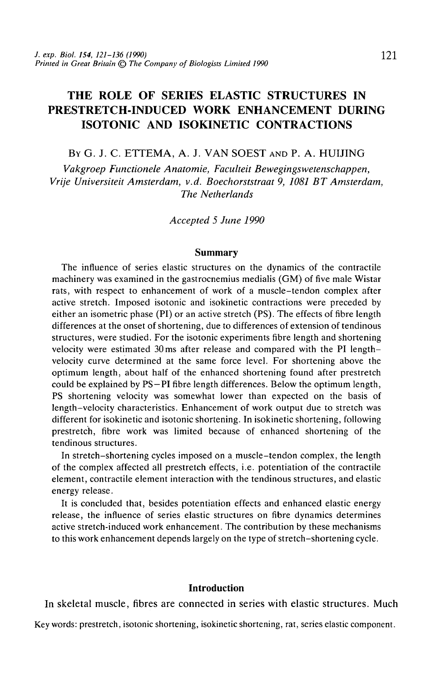# THE ROLE OF SERIES ELASTIC STRUCTURES IN PRESTRETCH-INDUCED WORK ENHANCEMENT DURING ISOTONIC AND ISOKINETIC CONTRACTIONS

BY G. J. C. ETTEMA, A. J. VAN SOEST AND P. A. HUIJING

*Vakgroep Functionele Anatomie, Faculteit Bewegingswetenschappen, Vrije Universiteit Amsterdam, v.d. Boechorststraat 9, 1081 BT Amsterdam, The Netherlands*

*Accepted 5 June 1990*

#### **Summary**

The influence of series elastic structures on the dynamics of the contractile machinery was examined in the gastrocnemius medialis (GM) of five male Wistar rats, with respect to enhancement of work of a muscle-tendon complex after active stretch. Imposed isotonic and isokinetic contractions were preceded by either an isometric phase (PI) or an active stretch (PS). The effects of fibre length differences at the onset of shortening, due to differences of extension of tendinous structures, were studied. For the isotonic experiments fibre length and shortening velocity were estimated 30 ms after release and compared with the PI lengthvelocity curve determined at the same force level. For shortening above the optimum length, about half of the enhanced shortening found after prestretch could be explained by PS—PI fibre length differences. Below the optimum length, PS shortening velocity was somewhat lower than expected on the basis of length-velocity characteristics. Enhancement of work output due to stretch was different for isokinetic and isotonic shortening. In isokinetic shortening, following prestretch, fibre work was limited because of enhanced shortening of the tendinous structures.

In stretch-shortening cycles imposed on a muscle-tendon complex, the length of the complex affected all prestretch effects, i.e. potentiation of the contractile element, contractile element interaction with the tendinous structures, and elastic energy release.

It is concluded that, besides potentiation effects and enhanced elastic energy release, the influence of series elastic structures on fibre dynamics determines active stretch-induced work enhancement. The contribution by these mechanisms to this work enhancement depends largely on the type of stretch-shortening cycle.

## **Introduction**

In skeletal muscle, fibres are connected in series with elastic structures. Much

Key words: prestretch, isotonic shortening, isokinetic shortening, rat, series elastic component.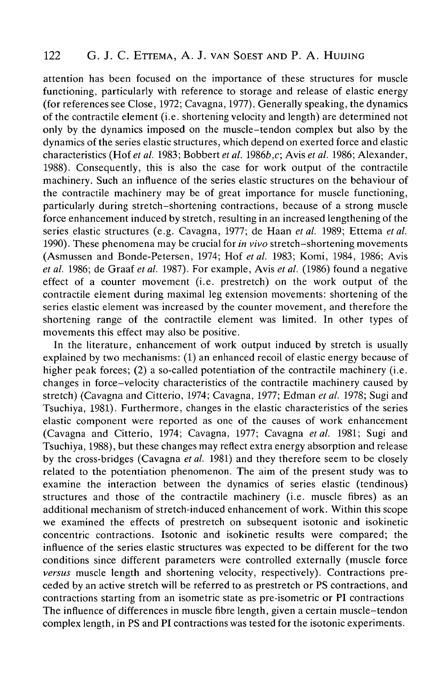attention has been focused on the importance of these structures for muscle functioning, particularly with reference to storage and release of elastic energy (for references see Close, 1972; Cavagna, 1977). Generally speaking, the dynamics of the contractile element (i.e. shortening velocity and length) are determined not only by the dynamics imposed on the muscle-tendon complex but also by the dynamics of the series elastic structures, which depend on exerted force and elastic characteristics (Hof *et al.* 1983; Bobbert *et al.* 19866,c; Avis *et al.* 1986; Alexander, 1988). Consequently, this is also the case for work output of the contractile machinery. Such an influence of the series elastic structures on the behaviour of the contractile machinery may be of great importance for muscle functioning, particularly during stretch-shortening contractions, because of a strong muscle force enhancement induced by stretch, resulting in an increased lengthening of the series elastic structures (e.g. Cavagna, 1977; de Haan *et al.* 1989; Ettema *et al.* 1990). These phenomena may be crucial for *in vivo* stretch-shortening movements (Asmussen and Bonde-Petersen, 1974; Hof *et al.* 1983; Komi, 1984, 1986; Avis *et al.* 1986; de Graaf *et al.* 1987). For example, Avis *et al.* (1986) found a negative effect of a counter movement (i.e. prestretch) on the work output of the contractile element during maximal leg extension movements: shortening of the series elastic element was increased by the counter movement, and therefore the shortening range of the contractile element was limited. In other types of movements this effect may also be positive.

In the literature, enhancement of work output induced by stretch is usually explained by two mechanisms: (1) an enhanced recoil of elastic energy because of higher peak forces; (2) a so-called potentiation of the contractile machinery (i.e. changes in force-velocity characteristics of the contractile machinery caused by stretch) (Cavagna and Citterio, 1974; Cavagna, 1977; Edman *et al.* 1978; Sugi and Tsuchiya, 1981). Furthermore, changes in the elastic characteristics of the series elastic component were reported as one of the causes of work enhancement (Cavagna and Citterio, 1974; Cavagna, 1977; Cavagna *et al.* 1981; Sugi and Tsuchiya, 1988), but these changes may reflect extra energy absorption and release by the cross-bridges (Cavagna *et al.* 1981) and they therefore seem to be closely related to the potentiation phenomenon. The aim of the present study was to examine the interaction between the dynamics of series elastic (tendinous) structures and those of the contractile machinery (i.e. muscle fibres) as an additional mechanism of stretch-induced enhancement of work. Within this scope we examined the effects of prestretch on subsequent isotonic and isokinetic concentric contractions. Isotonic and isokinetic results were compared; the influence of the series elastic structures was expected to be different for the two conditions since different parameters were controlled externally (muscle force *versus* muscle length and shortening velocity, respectively). Contractions preceded by an active stretch will be referred to as prestretch or PS contractions, and contractions starting from an isometric state as pre-isometric or PI contractions The influence of differences in muscle fibre length, given a certain muscle-tendon complex length, in PS and PI contractions was tested for the isotonic experiments.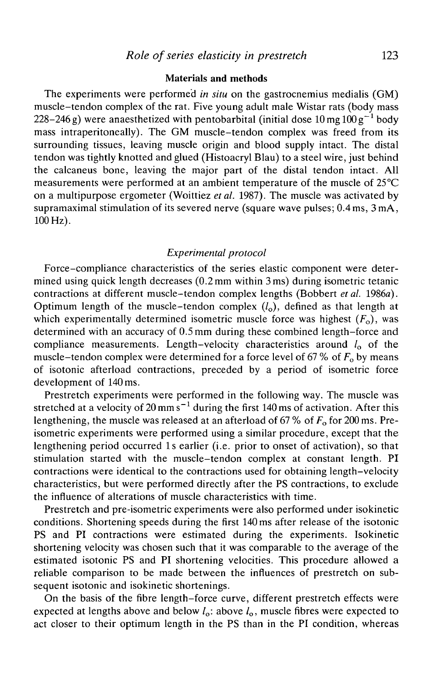## **Materials and methods**

The experiments were performed *in situ* on the gastrocnemius medialis (GM) muscle-tendon complex of the rat. Five young adult male Wistar rats (body mass 228–246 g) were anaesthetized with pentobarbital (initial dose  $10\,\mathrm{mg}\,$   $100\,\mathrm{g}^{-1}$  body mass intraperitoneally). The GM muscle-tendon complex was freed from its surrounding tissues, leaving muscle origin and blood supply intact. The distal tendon was tightly knotted and glued (Histoacryl Blau) to a steel wire, just behind the calcaneus bone, leaving the major part of the distal tendon intact. All measurements were performed at an ambient temperature of the muscle of 25°C on a multipurpose ergometer (Woittiez *etal.* 1987). The muscle was activated by supramaximal stimulation of its severed nerve (square wave pulses; 0.4 ms, 3 mA, 100 Hz).

## *Experimental protocol*

Force-compliance characteristics of the series elastic component were determined using quick length decreases (0.2 mm within 3 ms) during isometric tetanic contractions at different muscle-tendon complex lengths (Bobbert *etal.* 1986a). Optimum length of the muscle-tendon complex  $(l_0)$ , defined as that length at which experimentally determined isometric muscle force was highest  $(F_0)$ , was determined with an accuracy of 0.5 mm during these combined length-force and compliance measurements. Length-velocity characteristics around  $l_0$  of the muscle-tendon complex were determined for a force level of  $67\%$  of  $F_0$  by means of isotonic afterload contractions, preceded by a period of isometric force development of 140 ms.

Prestretch experiments were performed in the following way. The muscle was stretched at a velocity of 20 mm s<sup> $-1$ </sup> during the first 140 ms of activation. After this lengthening, the muscle was released at an afterload of 67 % of  $F_0$  for 200 ms. Preisometric experiments were performed using a similar procedure, except that the lengthening period occurred Is earlier (i.e. prior to onset of activation), so that stimulation started with the muscle-tendon complex at constant length. PI contractions were identical to the contractions used for obtaining length-velocity characteristics, but were performed directly after the PS contractions, to exclude the influence of alterations of muscle characteristics with time.

Prestretch and pre-isometric experiments were also performed under isokinetic conditions. Shortening speeds during the first 140 ms after release of the isotonic PS and PI contractions were estimated during the experiments. Isokinetic shortening velocity was chosen such that it was comparable to the average of the estimated isotonic PS and PI shortening velocities. This procedure allowed a reliable comparison to be made between the influences of prestretch on subsequent isotonic and isokinetic shortenings.

On the basis of the fibre length-force curve, different prestretch effects were expected at lengths above and below  $l_0$ : above  $l_0$ , muscle fibres were expected to act closer to their optimum length in the PS than in the PI condition, whereas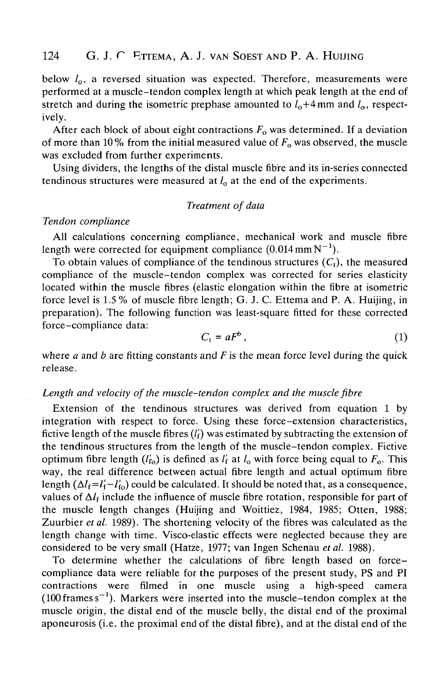below  $l_0$ , a reversed situation was expected. Therefore, measurements were performed at a muscle-tendon complex length at which peak length at the end of stretch and during the isometric prephase amounted to  $l_0+4$  mm and  $l_0$ , respectively.

After each block of about eight contractions  $F_0$  was determined. If a deviation of more than 10% from the initial measured value of  $F_0$  was observed, the muscle was excluded from further experiments.

Using dividers, the lengths of the distal muscle fibre and its in-series connected tendinous structures were measured at  $l_0$  at the end of the experiments.

## *Treatment of data*

### *Tendon compliance*

All calculations concerning compliance, mechanical work and muscle fibre length were corrected for equipment compliance  $(0.014 \text{ mm N}^{-1})$ .

To obtain values of compliance of the tendinous structures  $(C_t)$ , the measured compliance of the muscle-tendon complex was corrected for series elasticity located within the muscle fibres (elastic elongation within the fibre at isometric force level is 1.5 % of muscle fibre length; G. J. C. Ettema and P. A. Huijing, in preparation). The following function was least-square fitted for these corrected force-compliance data:

$$
C_t = aF^b \,, \tag{1}
$$

where *a* and *b* are fitting constants and *F* is the mean force level during the quick release.

### *Length and velocity of the muscle-tendon complex and the muscle fibre*

Extension of the tendinous structures was derived from equation 1 by integration with respect to force. Using these force-extension characteristics, fictive length of the muscle fibres  $(l'_i)$  was estimated by subtracting the extension of the tendinous structures from the length of the muscle-tendon complex. Fictive optimum fibre length  $(l'_{\text{fo}})$  is defined as  $l'_{\text{f}}$  at  $l_{\text{o}}$  with force being equal to  $F_{\text{o}}$ . This way, the real difference between actual fibre length and actual optimum fibre length  $(\Delta l_f = l'_f - l'_\text{to})$  could be calculated. It should be noted that, as a consequence, values of  $\Delta l_f$  include the influence of muscle fibre rotation, responsible for part of the muscle length changes (Huijing and Woittiez, 1984, 1985; Otten, 1988; Zuurbier *etal.* 1989). The shortening velocity of the fibres was calculated as the length change with time. Visco-elastic effects were neglected because they are considered to be very small (Hatze, 1977; van Ingen Schenau *etal.* 1988).

To determine whether the calculations of fibre length based on forcecompliance data were reliable for the purposes of the present study, PS and PI contractions were filmed in one muscle using a high-speed camera  $(100$  frames s<sup>-1</sup>). Markers were inserted into the muscle-tendon complex at the muscle origin, the distal end of the muscle belly, the distal end of the proximal aponeurosis (i.e. the proximal end of the distal fibre), and at the distal end of the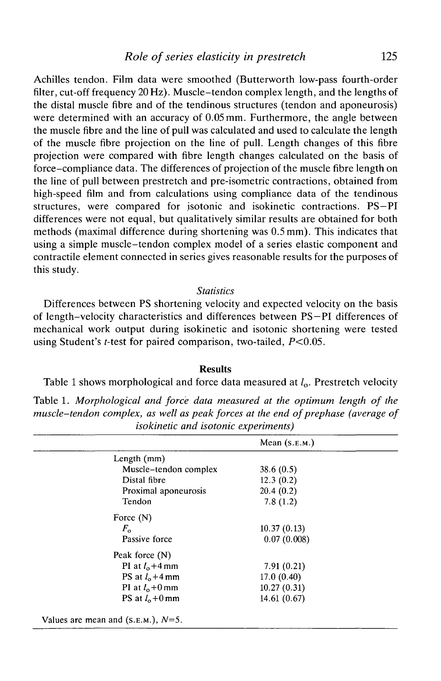Achilles tendon. Film data were smoothed (Butterworth low-pass fourth-order filter, cut-off frequency 20 Hz). Muscle-tendon complex length, and the lengths of the distal muscle fibre and of the tendinous structures (tendon and aponeurosis) were determined with an accuracy of 0.05 mm. Furthermore, the angle between the muscle fibre and the line of pull was calculated and used to calculate the length of the muscle fibre projection on the line of pull. Length changes of this fibre projection were compared with fibre length changes calculated on the basis of force-compliance data. The differences of projection of the muscle fibre length on the line of pull between prestretch and pre-isometric contractions, obtained from high-speed film and from calculations using compliance data of the tendinous structures, were compared for isotonic and isokinetic contractions. PS—PI differences were not equal, but qualitatively similar results are obtained for both methods (maximal difference during shortening was 0.5 mm). This indicates that using a simple muscle-tendon complex model of a series elastic component and contractile element connected in series gives reasonable results for the purposes of this study.

#### *Statistics*

Differences between PS shortening velocity and expected velocity on the basis of length-velocity characteristics and differences between PS—PI differences of mechanical work output during isokinetic and isotonic shortening were tested using Student's *t*-test for paired comparison, two-tailed,  $P < 0.05$ .

## **Results**

Table 1 shows morphological and force data measured at  $l_0$ . Prestretch velocity

Table 1. *Morphological and force data measured at the optimum length of the muscle-tendon complex, as well as peak forces at the end of prephase (average of isokinetic and isotonic experiments)*

|                                      | Mean $(s.E.M.)$ |  |
|--------------------------------------|-----------------|--|
| Length (mm)                          |                 |  |
| Muscle-tendon complex                | 38.6(0.5)       |  |
| Distal fibre                         | 12.3(0.2)       |  |
| Proximal aponeurosis                 | 20.4(0.2)       |  |
| Tendon                               | 7.8(1.2)        |  |
| Force $(N)$                          |                 |  |
| $F_{\alpha}$                         | 10.37(0.13)     |  |
| Passive force                        | 0.07(0.008)     |  |
| Peak force $(N)$                     |                 |  |
| PI at $l_0+4$ mm                     | 7.91(0.21)      |  |
| PS at $l_0+4$ mm                     | 17.0(0.40)      |  |
| PI at $l_0+0$ mm                     | 10.27(0.31)     |  |
| PS at $l_0+0$ mm                     | 14.61(0.67)     |  |
| Values are mean and $(s.E.M.), N=5.$ |                 |  |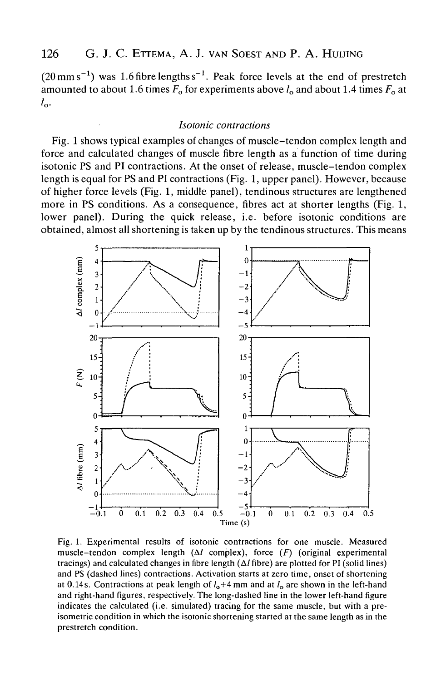$(20 \text{ mm s}^{-1})$  was 1.6 fibre lengths s<sup>-1</sup>. Peak force levels at the end of prestretch amounted to about 1.6 times  $F_0$  for experiments above  $l_0$  and about 1.4 times  $F_0$  at  $l_{\alpha}$ .

#### *lsotonic contractions*

Fig. 1 shows typical examples of changes of muscle-tendon complex length and force and calculated changes of muscle fibre length as a function of time during isotonic PS and PI contractions. At the onset of release, muscle-tendon complex length is equal for PS and PI contractions (Fig. 1, upper panel). However, because of higher force levels (Fig. 1, middle panel), tendinous structures are lengthened more in PS conditions. As a consequence, fibres act at shorter lengths (Fig. 1, lower panel). During the quick release, i.e. before isotonic conditions are obtained, almost all shortening is taken up by the tendinous structures. This means



Fig. 1. Experimental results of isotonic contractions for one muscle. Measured muscle-tendon complex length (A/ complex), force *(F)* (original experimental tracings) and calculated changes in fibre length  $(\Delta l)$  fibre) are plotted for PI (solid lines) and PS (dashed lines) contractions. Activation starts at zero time, onset of shortening at 0.14s. Contractions at peak length of  $l_0+4$  mm and at  $l_0$  are shown in the left-hand and right-hand figures, respectively. The long-dashed line in the lower left-hand figure indicates the calculated (i.e. simulated) tracing for the same muscle, but with a preisometric condition in which the isotonic shortening started at the same length as in the prestretch condition.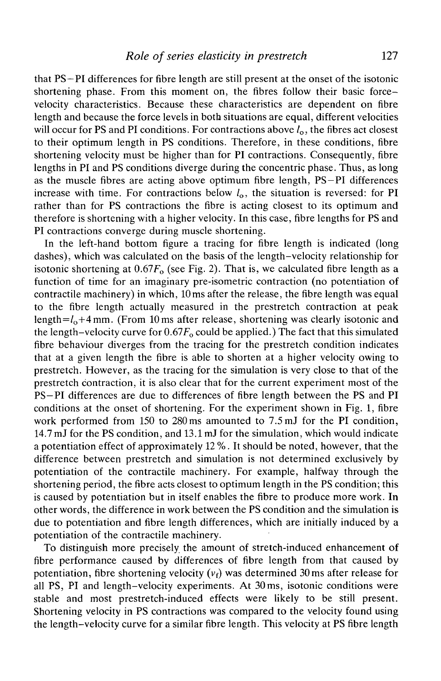that PS-PI differences for fibre length are still present at the onset of the isotonic shortening phase. From this moment on, the fibres follow their basic forcevelocity characteristics. Because these characteristics are dependent on fibre length and because the force levels in both situations are equal, different velocities will occur for PS and PI conditions. For contractions above  $l_0$ , the fibres act closest to their optimum length in PS conditions. Therefore, in these conditions, fibre shortening velocity must be higher than for PI contractions. Consequently, fibre lengths in PI and PS conditions diverge during the concentric phase. Thus, as long as the muscle fibres are acting above optimum fibre length, PS—PI differences increase with time. For contractions below  $l_0$ , the situation is reversed: for PI rather than for PS contractions the fibre is acting closest to its optimum and therefore is shortening with a higher velocity. In this case, fibre lengths for PS and PI contractions converge during muscle shortening.

In the left-hand bottom figure a tracing for fibre length is indicated (long dashes), which was calculated on the basis of the length-velocity relationship for isotonic shortening at  $0.67F<sub>o</sub>$  (see Fig. 2). That is, we calculated fibre length as a function of time for an imaginary pre-isometric contraction (no potentiation of contractile machinery) in which, 10ms after the release, the fibre length was equal to the fibre length actually measured in the prestretch contraction at peak length= $l_0+4$  mm. (From 10 ms after release, shortening was clearly isotonic and the length-velocity curve for  $0.67F_0$  could be applied.) The fact that this simulated fibre behaviour diverges from the tracing for the prestretch condition indicates that at a given length the fibre is able to shorten at a higher velocity owing to prestretch. However, as the tracing for the simulation is very close to that of the prestretch contraction, it is also clear that for the current experiment most of the PS-PI differences are due to differences of fibre length between the PS and PI conditions at the onset of shortening. For the experiment shown in Fig. 1, fibre work performed from 150 to 280ms amounted to 7.5 mJ for the PI condition, 14.7 mJ for the PS condition, and 13.1 mJ for the simulation, which would indicate a potentiation effect of approximately 12 %. It should be noted, however, that the difference between prestretch and simulation is not determined exclusively by potentiation of the contractile machinery. For example, halfway through the shortening period, the fibre acts closest to optimum length in the PS condition; this is caused by potentiation but in itself enables the fibre to produce more work. In other words, the difference in work between the PS condition and the simulation is due to potentiation and fibre length differences, which are initially induced by a potentiation of the contractile machinery.

To distinguish more precisely the amount of stretch-induced enhancement of fibre performance caused by differences of fibre length from that caused by potentiation, fibre shortening velocity  $(v_f)$  was determined 30 ms after release for all PS, PI and length-velocity experiments. At 30ms, isotonic conditions were stable and most prestretch-induced effects were likely to be still present. Shortening velocity in PS contractions was compared to the velocity found using the length-velocity curve for a similar fibre length. This velocity at PS fibre length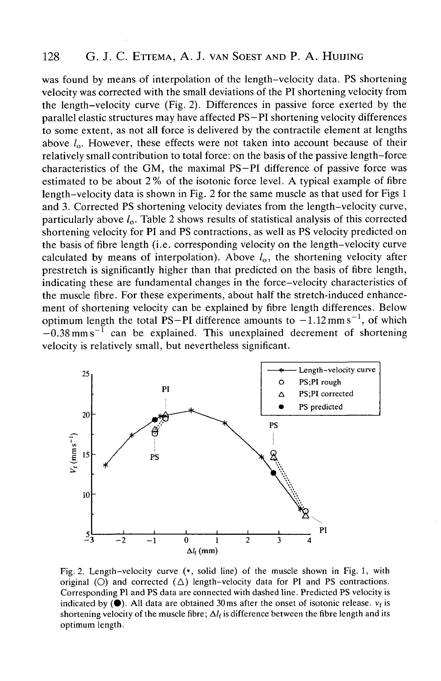was found by means of interpolation of the length-velocity data. PS shortening velocity was corrected with the small deviations of the PI shortening velocity from the length-velocity curve (Fig. 2). Differences in passive force exerted by the parallel elastic structures may have affected PS—PI shortening velocity differences to some extent, as not all force is delivered by the contractile element at lengths above  $l_0$ . However, these effects were not taken into account because of their relatively small contribution to total force: on the basis of the passive length-force characteristics of the GM, the maximal PS—PI difference of passive force was estimated to be about 2% of the isotonic force level. A typical example of fibre length-velocity data is shown in Fig. 2 for the same muscle as that used for Figs 1 and 3. Corrected PS shortening velocity deviates from the length-velocity curve, particularly above  $l_0$ . Table 2 shows results of statistical analysis of this corrected shortening velocity for PI and PS contractions, as well as PS velocity predicted on the basis of fibre length (i.e. corresponding velocity on the length-velocity curve calculated by means of interpolation). Above  $l_0$ , the shortening velocity after prestretch is significantly higher than that predicted on the basis of fibre length, indicating these are fundamental changes in the force-velocity characteristics of the muscle fibre. For these experiments, about half the stretch-induced enhancement of shortening velocity can be explained by fibre length differences. Below optimum length the total PS-PI difference amounts to  $-1.12$  mm s<sup>-1</sup>, of which  $-0.38$  mm s<sup>-1</sup> can be explained. This unexplained decrement of shortening velocity is relatively small, but nevertheless significant.



Fig. 2. Length-velocity curve (\*, solid line) of the muscle shown in Fig. 1, with original (O) and corrected  $(\triangle)$  length-velocity data for PI and PS contractions. Corresponding PI and PS data are connected with dashed line. Predicted PS velocity is indicated by  $(\bullet)$ . All data are obtained 30ms after the onset of isotonic release.  $v_f$  is shortening velocity of the muscle fibre;  $\Delta l_f$  is difference between the fibre length and its optimum length.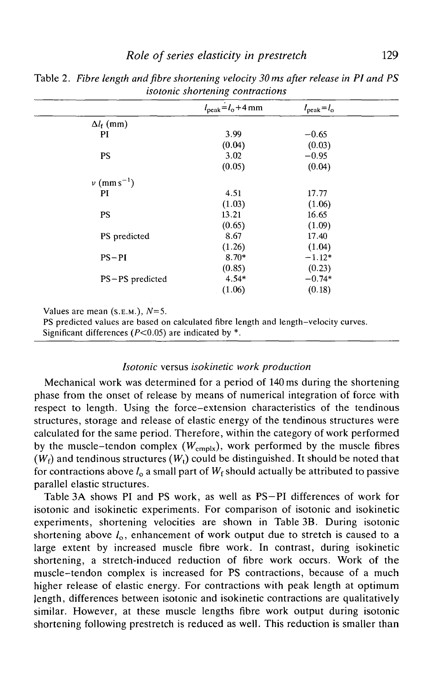|                           | $l_{\text{peak}}=l_{\text{o}}+4$ mm | $l_{\rm peak}=l_{\rm o}$ |  |
|---------------------------|-------------------------------------|--------------------------|--|
| $\Delta l_{\rm f}$ (mm)   |                                     |                          |  |
| PI                        | 3.99                                | $-0.65$                  |  |
|                           | (0.04)                              | (0.03)                   |  |
| <b>PS</b>                 | 3.02                                | $-0.95$                  |  |
|                           | (0.05)                              | (0.04)                   |  |
| $v$ (mm s <sup>-1</sup> ) |                                     |                          |  |
| PI                        | 4.51                                | 17.77                    |  |
|                           | (1.03)                              | (1.06)                   |  |
| <b>PS</b>                 | 13.21                               | 16.65                    |  |
|                           | (0.65)                              | (1.09)                   |  |
| PS predicted              | 8.67                                | 17.40                    |  |
|                           | (1.26)                              | (1.04)                   |  |
| $PS-PI$                   | $8.70*$                             | $-1.12*$                 |  |
|                           | (0.85)                              | (0.23)                   |  |
| PS-PS predicted           | $4.54*$                             | $-0.74*$                 |  |
|                           | (1.06)                              | (0.18)                   |  |

Table *2. Fibre length arid fibre shortening velocity 30 ms after release in PI and PS isotonic shortening contractions*

Values are mean (S.E.M.), *N=5.*

PS predicted values are based on calculated fibre length and length-velocity curves.

Significant differences ( $P < 0.05$ ) are indicated by  $*$ .

## *Isotonic* versus *isokinetic work production*

Mechanical work was determined for a period of 140 ms during the shortening phase from the onset of release by means of numerical integration of force with respect to length. Using the force-extension characteristics of the tendinous structures, storage and release of elastic energy of the tendinous structures were calculated for the same period. Therefore, within the category of work performed by the muscle-tendon complex  $(W_{\text{cmplx}})$ , work performed by the muscle fibres  $(W_f)$  and tendinous structures  $(W_t)$  could be distinguished. It should be noted that for contractions above  $l_0$  a small part of  $W_f$  should actually be attributed to passive parallel elastic structures.

Table 3A shows PI and PS work, as well as PS-PI differences of work for isotonic and isokinetic experiments. For comparison of isotonic and isokinetic experiments, shortening velocities are shown in Table 3B. During isotonic shortening above  $l_0$ , enhancement of work output due to stretch is caused to a large extent by increased muscle fibre work. In contrast, during isokinetic shortening, a stretch-induced reduction of fibre work occurs. Work of the muscle-tendon complex is increased for PS contractions, because of a much higher release of elastic energy. For contractions with peak length at optimum length, differences between isotonic and isokinetic contractions are qualitatively similar. However, at these muscle lengths fibre work output during isotonic shortening following prestretch is reduced as well. This reduction is smaller than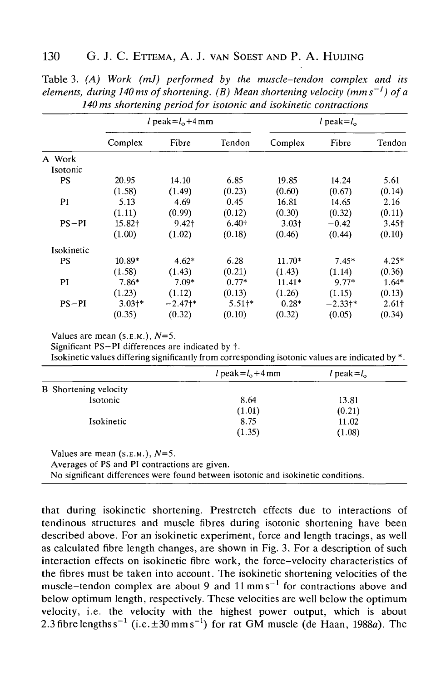|            | l peak= $l_0+4$ mm  |            |                   |                   | l peak= $l_0$ |                   |
|------------|---------------------|------------|-------------------|-------------------|---------------|-------------------|
|            | Complex             | Fibre      | Tendon            | Complex           | Fibre         | Tendon            |
| A Work     |                     |            |                   |                   |               |                   |
| Isotonic   |                     |            |                   |                   |               |                   |
| <b>PS</b>  | 20.95               | 14.10      | 6.85              | 19.85             | 14.24         | 5.61              |
|            | (1.58)              | (1.49)     | (0.23)            | (0.60)            | (0.67)        | (0.14)            |
| PI         | 5.13                | 4.69       | 0.45              | 16.81             | 14.65         | 2.16              |
|            | (1.11)              | (0.99)     | (0.12)            | (0.30)            | (0.32)        | (0.11)            |
| $PS-PI$    | 15.82†              | 9.42†      | 6.40 <sup>†</sup> | 3.03 <sup>†</sup> | $-0.42$       | 3.45 <sub>†</sub> |
|            | (1.00)              | (1.02)     | (0.18)            | (0.46)            | (0.44)        | (0.10)            |
| Isokinetic |                     |            |                   |                   |               |                   |
| <b>PS</b>  | 10.89*              | $4.62*$    | 6.28              | $11.70*$          | $7.45*$       | $4.25*$           |
|            | (1.58)              | (1.43)     | (0.21)            | (1.43)            | (1.14)        | (0.36)            |
| PI         | $7.86*$             | $7.09*$    | $0.77*$           | $11.41*$          | $9.77*$       | $1.64*$           |
|            | (1.23)              | (1.12)     | (0.13)            | (1.26)            | (1.15)        | (0.13)            |
| $PS-PI$    | $3.03$ <sup>*</sup> | $-2.47$ †* | $5.51+$ *         | $0.28*$           | $-2.33+*$     | 2.61†             |
|            | (0.35)              | (0.32)     | (0.10)            | (0.32)            | (0.05)        | (0.34)            |

Table 3. *(A) Work (mJ) performed by the muscle-tendon complex and its elements, during 140 ms of shortening. (B) Mean shortening velocity (mms~! ) of a 140 ms shortening period for isotonic and isokinetic contractions*

Values are mean (S.E.M.), *N=5.*

Significant PS-PI differences are indicated by  $\dagger$ .

Isokinetic values differing significantly from corresponding isotonic values are indicated by \*.

| l peak= $l_0+4$ mm | l peak= $l_0$ |
|--------------------|---------------|
|                    |               |
| 8.64               | 13.81         |
| (1.01)             | (0.21)        |
| 8.75               | 11.02         |
| (1.35)             | (1.08)        |
|                    |               |

Values are mean  $(s.E.M.)$ ,  $N=5$ .

Averages of PS and PI contractions are given.

No significant differences were found between isotonic and isokinetic conditions.

that during isokinetic shortening. Prestretch effects due to interactions of tendinous structures and muscle fibres during isotonic shortening have been described above. For an isokinetic experiment, force and length tracings, as well as calculated fibre length changes, are shown in Fig. 3. For a description of such interaction effects on isokinetic fibre work, the force-velocity characteristics of the fibres must be taken into account. The isokinetic shortening velocities of the muscle-tendon complex are about 9 and  $11 \text{ mm s}^{-1}$  for contractions above and below optimum length, respectively. These velocities are well below the optimum velocity, i.e. the velocity with the highest power output, which is about 2.3 fibre lengths  $s^{-1}$  (i.e.  $\pm 30$  mm  $s^{-1}$ ) for rat GM muscle (de Haan, 1988a). The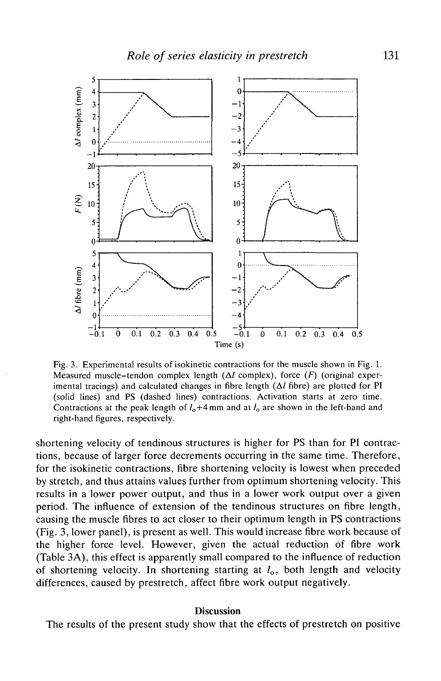

Fig. 3. Experimental results of isokinetic contractions for the muscle shown in Fig. 1. Measured muscle-tendon complex length  $(\Delta l \text{ complex})$ , force  $(F)$  (original experimental tracings) and calculated changes in fibre length  $(\Delta l)$  fibre) are plotted for PI (solid lines) and PS (dashed lines) contractions. Activation starts at zero time. Contractions at the peak length of  $l_0+4$  mm and at  $l_0$  are shown in the left-hand and right-hand figures, respectively.

shortening velocity of tendinous structures is higher for PS than for PI contractions, because of larger force decrements occurring in the same time. Therefore, for the isokinetic contractions, fibre shortening velocity is lowest when preceded by stretch, and thus attains values further from optimum shortening velocity. This results in a lower power output, and thus in a lower work output over a given period. The influence of extension of the tendinous structures on fibre length, causing the muscle fibres to act closer to their optimum length in PS contractions (Fig. 3, lower panel), is present as well. This would increase fibre work because of the higher force level. However, given the actual reduction of fibre work (Table 3A), this effect is apparently small compared to the influence of reduction of shortening velocity. In shortening starting at  $l_0$ , both length and velocity differences, caused by prestretch, affect fibre work output negatively.

#### **Discussion**

The results of the present study show that the effects of prestretch on positive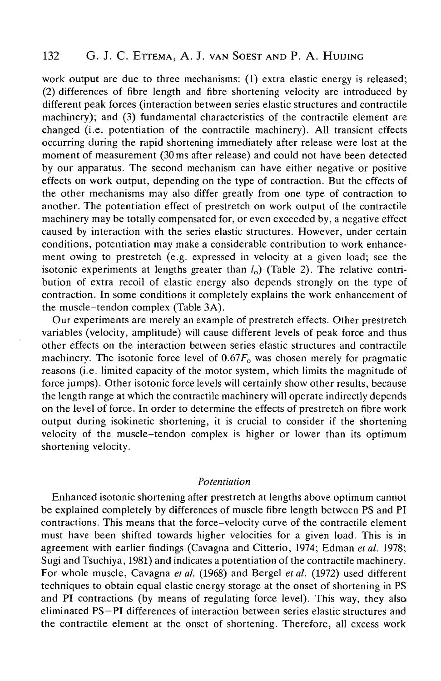work output are due to three mechanisms: (1) extra elastic energy is released; (2) differences of fibre length and fibre shortening velocity are introduced by different peak forces (interaction between series elastic structures and contractile machinery); and (3) fundamental characteristics of the contractile element are changed (i.e. potentiation of the contractile machinery). All transient effects occurring during the rapid shortening immediately after release were lost at the moment of measurement (30 ms after release) and could not have been detected by our apparatus. The second mechanism can have either negative or positive effects on work output, depending on the type of contraction. But the effects of the other mechanisms may also differ greatly from one type of contraction to another. The potentiation effect of prestretch on work output of the contractile machinery may be totally compensated for, or even exceeded by, a negative effect caused by interaction with the series elastic structures. However, under certain conditions, potentiation may make a considerable contribution to work enhancement owing to prestretch (e.g. expressed in velocity at a given load; see the isotonic experiments at lengths greater than  $l_0$ ) (Table 2). The relative contribution of extra recoil of elastic energy also depends strongly on the type of contraction. In some conditions it completely explains the work enhancement of the muscle-tendon complex (Table 3A).

Our experiments are merely an example of prestretch effects. Other prestretch variables (velocity, amplitude) will cause different levels of peak force and thus other effects on the interaction between series elastic structures and contractile machinery. The isotonic force level of  $0.67F<sub>o</sub>$  was chosen merely for pragmatic reasons (i.e. limited capacity of the motor system, which limits the magnitude of force jumps). Other isotonic force levels will certainly show other results, because the length range at which the contractile machinery will operate indirectly depends on the level of force. In order to determine the effects of prestretch on fibre work output during isokinetic shortening, it is crucial to consider if the shortening velocity of the muscle-tendon complex is higher or lower than its optimum shortening velocity.

#### *Potentiation*

Enhanced isotonic shortening after prestretch at lengths above optimum cannot be explained completely by differences of muscle fibre length between PS and PI contractions. This means that the force-velocity curve of the contractile element must have been shifted towards higher velocities for a given load. This is in agreement with earlier findings (Cavagna and Citterio, 1974; Edman *etal.* 1978; Sugi and Tsuchiya, 1981) and indicates a potentiation of the contractile machinery. For whole muscle, Cavagna *et al.* (1968) and Bergel *et al.* (1972) used different techniques to obtain equal elastic energy storage at the onset of shortening in PS and PI contractions (by means of regulating force level). This way, they also eliminated PS—PI differences of interaction between series elastic structures and the contractile element at the onset of shortening. Therefore, all excess work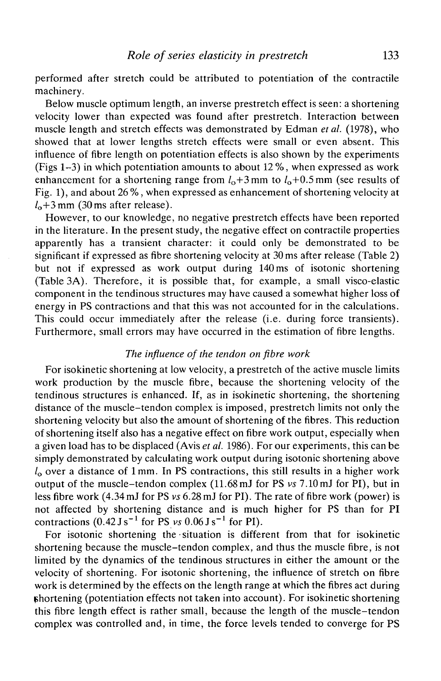performed after stretch could be attributed to potentiation of the contractile machinery.

Below muscle optimum length, an inverse prestretch effect is seen: a shortening velocity lower than expected was found after prestretch. Interaction between muscle length and stretch effects was demonstrated by Edman *et al.* (1978), who showed that at lower lengths stretch effects were small or even absent. This influence of fibre length on potentiation effects is also shown by the experiments (Figs 1-3) in which potentiation amounts to about 12%, when expressed as work enhancement for a shortening range from  $l_0+3$  mm to  $l_0+0.5$  mm (see results of Fig. 1), and about 26 %, when expressed as enhancement of shortening velocity at  $l_0+3$  mm (30 ms after release).

However, to our knowledge, no negative prestretch effects have been reported in the literature. In the present study, the negative effect on contractile properties apparently has a transient character: it could only be demonstrated to be significant if expressed as fibre shortening velocity at 30 ms after release (Table 2) but not if expressed as work output during 140 ms of isotonic shortening (Table 3A). Therefore, it is possible that, for example, a small visco-elastic component in the tendinous structures may have caused a somewhat higher loss of energy in PS contractions and that this was not accounted for in the calculations. This could occur immediately after the release (i.e. during force transients). Furthermore, small errors may have occurred in the estimation of fibre lengths.

## *The influence of the tendon on fibre work*

For isokinetic shortening at low velocity, a prestretch of the active muscle limits work production by the muscle fibre, because the shortening velocity of the tendinous structures is enhanced. If, as in isokinetic shortening, the shortening distance of the muscle-tendon complex is imposed, prestretch limits not only the shortening velocity but also the amount of shortening of the fibres. This reduction of shortening itself also has a negative effect on fibre work output, especially when a given load has to be displaced (Avis *et al.* 1986). For our experiments, this can be simply demonstrated by calculating work output during isotonic shortening above  $l_0$  over a distance of 1 mm. In PS contractions, this still results in a higher work output of the muscle-tendon complex (11.68 mJ for PS *vs* 7.10 mJ for PI), but in less fibre work (4.34 mJ for PS *vs* 6.28 mJ for PI). The rate of fibre work (power) is not affected by shortening distance and is much higher for PS than for PI contractions  $(0.42 \text{ J s}^{-1} \text{ for PS } v_s \ 0.06 \text{ J s}^{-1} \text{ for PI}).$ 

For isotonic shortening the • situation is different from that for isokinetic shortening because the muscle-tendon complex, and thus the muscle fibre, is not limited by the dynamics of the tendinous structures in either the amount or the velocity of shortening. For isotonic shortening, the influence of stretch on fibre work is determined by the effects on the length range at which the fibres act during (shortening (potentiation effects not taken into account). For isokinetic shortening this fibre length effect is rather small, because the length of the muscle-tendon complex was controlled and, in time, the force levels tended to converge for PS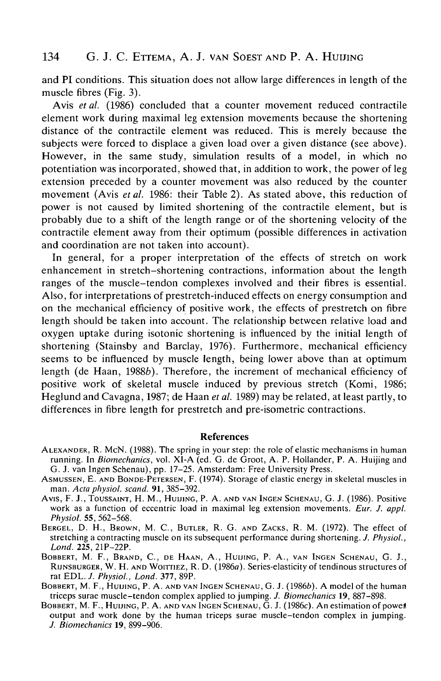and PI conditions. This situation does not allow large differences in length of the muscle fibres (Fig. 3).

Avis *et al.* (1986) concluded that a counter movement reduced contractile element work during maximal leg extension movements because the shortening distance of the contractile element was reduced. This is merely because the subjects were forced to displace a given load over a given distance (see above). However, in the same study, simulation results of a model, in which no potentiation was incorporated, showed that, in addition to work, the power of leg extension preceded by a counter movement was also reduced by the counter movement (Avis *et al.* 1986: their Table 2). As stated above, this reduction of power is not caused by limited shortening of the contractile element, but is probably due to a shift of the length range or of the shortening velocity of the contractile element away from their optimum (possible differences in activation and coordination are not taken into account).

In general, for a proper interpretation of the effects of stretch on work enhancement in stretch-shortening contractions, information about the length ranges of the muscle-tendon complexes involved and their fibres is essential. Also, for interpretations of prestretch-induced effects on energy consumption and on the mechanical efficiency of positive work, the effects of prestretch on fibre length should be taken into account. The relationship between relative load and oxygen uptake during isotonic shortening is influenced by the initial length of shortening (Stainsby and Barclay, 1976). Furthermore, mechanical efficiency seems to be influenced by muscle length, being lower above than at optimum length (de Haan, 1988b). Therefore, the increment of mechanical efficiency of positive work of skeletal muscle induced by previous stretch (Komi, 1986; Heglund and Cavagna, 1987; de Haan *et al.* 1989) may be related, at least partly, to differences in fibre length for prestretch and pre-isometric contractions.

#### References

- ALEXANDER, R. MCN. (1988). The spring in your step: the role of elastic mechanisms in human running. In *Biomechanics,* vol. XI-A (ed. G. de Groot, A. P. Hollander, P. A. Huijing and
- ASMUSSEN, E. AND BONDE-PETERSEN, F. (1974). Storage of elastic energy in skeletal muscles in man. Acta physiol. scand. 91, 385–392.
- man. *Acta physiol. scand.* 91, 385-392. Avis, F. J., TOUSSAINT, H. M., HUIJING, P. A. AND VAN INGEN SCHENAU, G. J. (1986). Positive work as a function of eccentric load in maximal leg extension movements. *Eur. J. appl. Physiol.* 55, 562–568.
- BERGEL, D. H., BROWN, M. C., BUTLER, R. G. AND ZACKS, R. M. (1972). The effect of stretching a contracting muscle on its subsequent performance during shortening. *J. Physiol., Lond.* 225, 21P-22P.
- BOBBERT, M. F., BRAND, C, DE HAAN, A., HUIJING, P. A., VAN INGEN SCHENAU, G. J., RUNSBURGER, W. H. AND WOITTIEZ, R. D. (1986a). Series-elasticity of tendinous structures of rat EDL. J. Physiol., Lond. 377, 89P.
- BOBBERT, M. F., HUIJING, P. A. AND VAN INGEN SCHENAU, G. J. (1986b). A model of the human triceps surae muscle-tendon complex applied to jumping. *J. Biomechanics* 19, 887–898.
- BOBBERT, M. F., HUIJING, P. A. AND VAN INGEN SCHENAU, G. J. (1986c). An estimation of power output and work done by the human triceps surae muscle-tendon complex in jumping. *J. Biomechanics* 19, 899-906.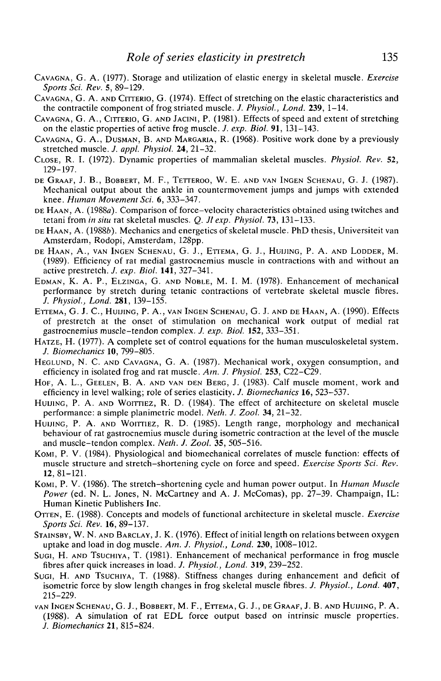- CAVAGNA, G. A. (1977). Storage and utilization of elastic energy in skeletal muscle. *Exercise Sports Sci. Rev.* 5, 89-129.
- CAVAGNA, G. A. AND CITTERIO, G. (1974). Effect of stretching on the elastic characteristics and the contractile component of frog striated muscle. *J. Physioi, Lond.* **239,** 1-14.
- CAVAGNA, G. A., CITTERIO, G. AND JACINI, P. (1981). Effects of speed and extent of stretching on the elastic properties of active frog muscle. /. *exp. Biol.* **91,** 131-143.
- CAVAGNA, G. A., DUSMAN, B. AND MARGARIA, R. (1968). Positive work done by a previously stretched muscle. *J. appl. Physioi.* **24,** 21-32.
- CLOSE, R. I. (1972). Dynamic properties of mammalian skeletal muscles. *Physioi. Rev.* 52, 129-197.
- DE GRAAF, J. B., BOBBERT, M. F., TETTEROO, W. E. AND VAN INGEN SCHENAU, G. J. (1987). Mechanical output about the ankle in countermovement jumps and jumps with extended knee. *Human Movement Sci.* 6, 333-347.
- DE HAAN, A. (1988a). Comparison of force-velocity characteristics obtained using twitches and tetani from *in situ* rat skeletal muscles. *Q. Jl exp. Physioi.* **73,** 131-133.
- DE HAAN, A. (1988b). Mechanics and energetics of skeletal muscle. PhD thesis, Universiteit van Amsterdam, Rodopi, Amsterdam, 128pp.
- DE HAAN, A., VAN INGEN SCHENAU, G. J., ETTEMA, G. J., HUIJING, P. A. AND LODDER, M. (1989). Efficiency of rat medial gastrocnemius muscle in contractions with and without an active prestretch. *J. exp. Biol.* **141,** 327-341.
- EDMAN, K. A. P., ELZINGA, G. AND NOBLE, M. I. M. (1978). Enhancement of mechanical performance by stretch during tetanic contractions of vertebrate skeletal muscle fibres. *J. Physioi., Lond.* **281,** 139-155.
- ETTEMA, G. J. C, HUIJING, P. A., VAN INGEN SCHENAU, G. J. AND DE HAAN, A. (1990). Effects of prestretch at the onset of stimulation on mechanical work output of medial rat gastrocnemius muscle-tendon complex. *J. exp. Biol.* **152,** 333-351.
- HATZE, H. (1977). A complete set of control equations for the human musculoskeletal system. *J. Biomechanics* **10,** 799-805.
- HEGLUND, N. C. AND CAVAGNA, G. A. (1987). Mechanical work, oxygen consumption, and efficiency in isolated frog and rat muscle. *Am. J. Physioi.* **253,** C22-C29.
- HOF, A. L., GEELEN, B. A. AND VAN DEN BERG, J. (1983). Calf muscle moment, work and efficiency in level walking; role of series elasticity. *J. Biomechanics* 16, 523-537.
- HUIJING, P. A. AND WOITTIEZ, R. D. (1984). The effect of architecture on skeletal muscle performance: a simple planimetric model. *Neth. J. Zool.* **34,** 21-32.
- HUIJING, P. A. AND WOITTIEZ, R. D. (1985). Length range, morphology and mechanical behaviour of rat gastrocnemius muscle during isometric contraction at the level of the muscle and muscle-tendon complex. *Neth. J. Zool.* **35,** 505-516.
- KOMI, P. V. (1984). Physiological and biomechanical correlates of muscle function: effects of muscle structure and stretch-shortening cycle on force and speed. *Exercise Sports Sci. Rev.* **12,** 81-121.
- KOMI, P. V. (1986). The stretch-shortening cycle and human power output. In *Human Muscle Power* (ed. N. L. Jones, N. McCartney and A. J. McComas), pp. 27-39. Champaign, IL: Human Kinetic Publishers Inc.
- OTTEN, E. (1988). Concepts and models of functional architecture in skeletal muscle. *Exercise Sports Sci. Rev.* 16, 89-137.
- STAINSBY, W. N. AND BARCLAY, J. K. (1976). Effect of initial length on relations between oxygen uptake and load in dog muscle. *Am. J. Physioi., Lond.* **230,** 1008-1012.
- SUGI, H. AND TSUCHIYA, T. (1981). Enhancement of mechanical performance in frog muscle fibres after quick increases in load. *J. Physioi, Lond.* **319,** 239-252.
- SUGI, H. AND TSUCHIYA, T. (1988). Stiffness changes during enhancement and deficit of isometric force by slow length changes in frog skeletal muscle fibres. *J. Physioi., Lond.* **407,** 215-229.
- VAN INGEN SCHENAU, G. J., BOBBERT, M. F., ETTEMA, G. J., DE GRAAF, J. B. AND HUIJING, P. A. (1988). A simulation of rat EDL force output based on intrinsic muscle properties. *J. Biomechanics* **21,** 815-824.